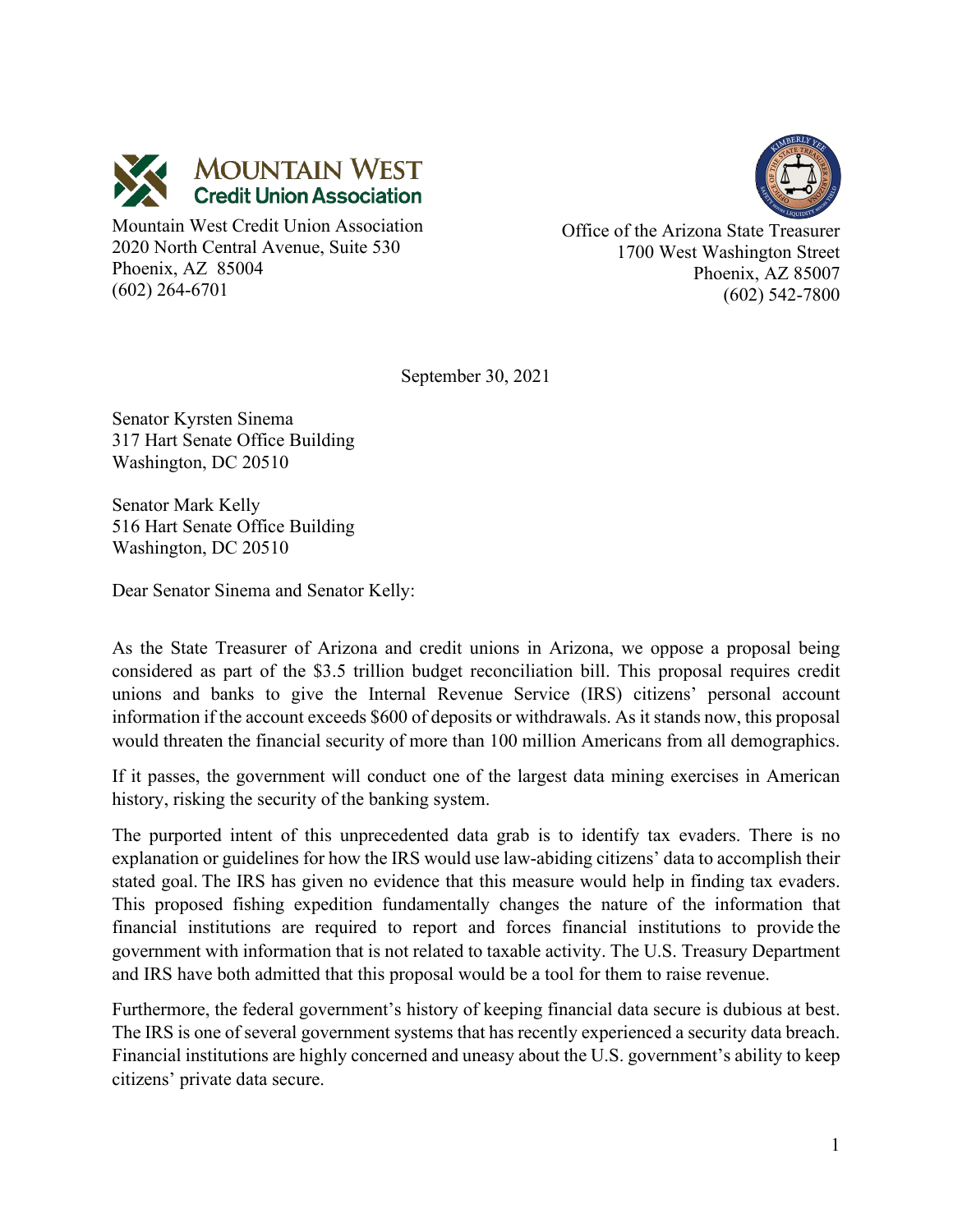



Mountain West Credit Union Association 2020 North Central Avenue, Suite 530 Phoenix, AZ 85004 (602) 264-6701

Office of the Arizona State Treasurer 1700 West Washington Street Phoenix, AZ 85007 (602) 542-7800

September 30, 2021

Senator Kyrsten Sinema 317 Hart Senate Office Building Washington, DC 20510

Senator Mark Kelly 516 Hart Senate Office Building Washington, DC 20510

Dear Senator Sinema and Senator Kelly:

As the State Treasurer of Arizona and credit unions in Arizona, we oppose a proposal being considered as part of the \$3.5 trillion budget reconciliation bill. This proposal requires credit unions and banks to give the Internal Revenue Service (IRS) citizens' personal account information if the account exceeds \$600 of deposits or withdrawals. As it stands now, this proposal would threaten the financial security of more than 100 million Americans from all demographics.

If it passes, the government will conduct one of the largest data mining exercises in American history, risking the security of the banking system.

The purported intent of this unprecedented data grab is to identify tax evaders. There is no explanation or guidelines for how the IRS would use law-abiding citizens' data to accomplish their stated goal. The IRS has given no evidence that this measure would help in finding tax evaders. This proposed fishing expedition fundamentally changes the nature of the information that financial institutions are required to report and forces financial institutions to provide the government with information that is not related to taxable activity. The U.S. Treasury Department and IRS have both admitted that this proposal would be a tool for them to raise revenue.

Furthermore, the federal government's history of keeping financial data secure is dubious at best. The IRS is one of several government systems that has recently experienced a security data breach. Financial institutions are highly concerned and uneasy about the U.S. government's ability to keep citizens' private data secure.